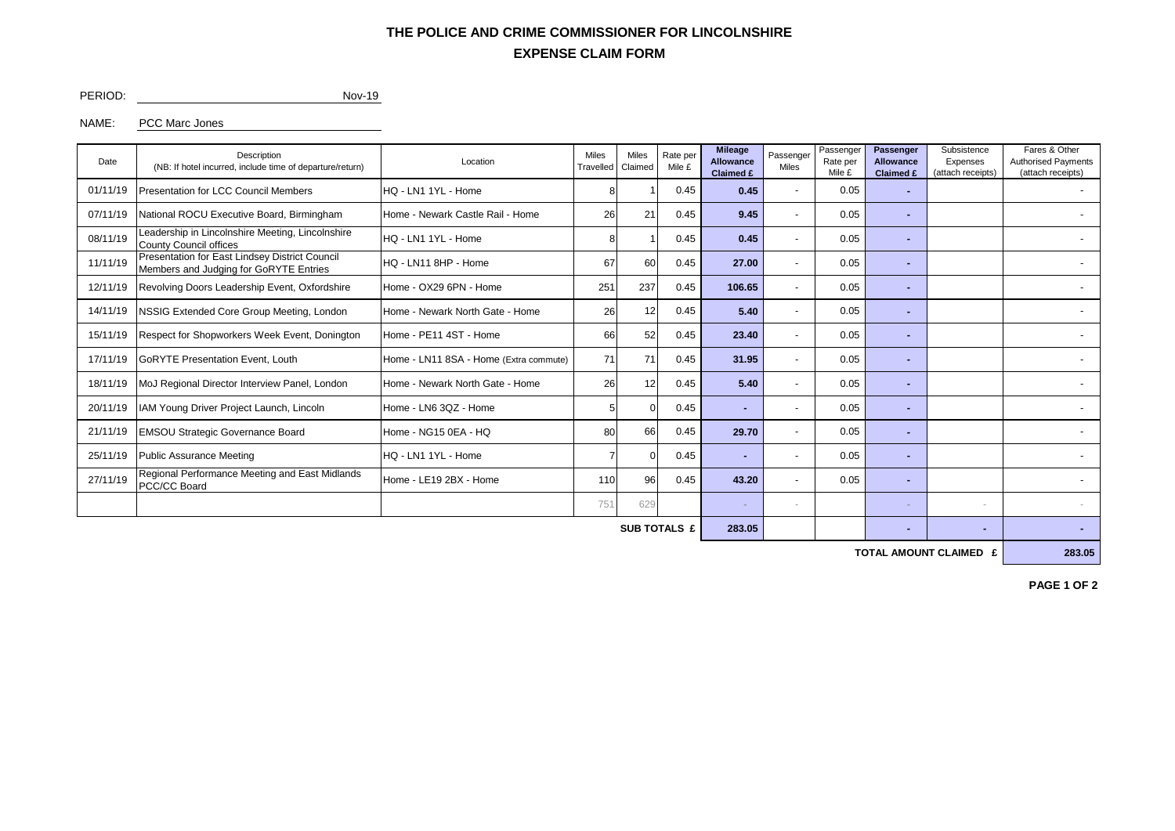### **EXPENSE CLAIM FORM THE POLICE AND CRIME COMMISSIONER FOR LINCOLNSHIRE**

#### PERIOD: Nov-19

#### NAME: PCC Marc Jones

| <b>Presentation for LCC Council Members</b><br>HQ - LN1 1YL - Home<br>0.45<br>01/11/19<br>0.45<br>0.05<br>$\overline{\phantom{0}}$<br>07/11/19<br>21<br>0.05<br>National ROCU Executive Board, Birmingham<br>Home - Newark Castle Rail - Home<br>0.45<br>9.45<br>26<br>$\overline{\phantom{a}}$<br>Leadership in Lincolnshire Meeting, Lincolnshire<br>08/11/19<br>0.05<br>0.45<br>0.45<br>HQ - LN1 1YL - Home<br><b>County Council offices</b><br>Presentation for East Lindsey District Council<br>11/11/19<br>60<br>0.05<br>0.45<br>27.00<br>HQ - LN11 8HP - Home<br>67<br>$\overline{a}$<br>Members and Judging for GoRYTE Entries<br>106.65<br>12/11/19<br>Revolving Doors Leadership Event, Oxfordshire<br>Home - OX29 6PN - Home<br>25'<br>237<br>0.45<br>0.05<br>$\overline{a}$ | Date | Description<br>(NB: If hotel incurred, include time of departure/return) | Location | <b>Miles</b><br>Travelled | <b>Miles</b><br>Rate per<br>Claimed<br>Mile £ |  | <b>Mileage</b><br><b>Allowance</b><br>Claimed £ | Passenger<br>Miles | Passenger<br>Rate per<br>Mile £ | Passenger<br><b>Allowance</b><br>Claimed £ | Subsistence<br>Expenses<br>(attach receipts) | Fares & Other<br><b>Authorised Payments</b><br>(attach receipts) |  |
|-----------------------------------------------------------------------------------------------------------------------------------------------------------------------------------------------------------------------------------------------------------------------------------------------------------------------------------------------------------------------------------------------------------------------------------------------------------------------------------------------------------------------------------------------------------------------------------------------------------------------------------------------------------------------------------------------------------------------------------------------------------------------------------------|------|--------------------------------------------------------------------------|----------|---------------------------|-----------------------------------------------|--|-------------------------------------------------|--------------------|---------------------------------|--------------------------------------------|----------------------------------------------|------------------------------------------------------------------|--|
|                                                                                                                                                                                                                                                                                                                                                                                                                                                                                                                                                                                                                                                                                                                                                                                         |      |                                                                          |          |                           |                                               |  |                                                 |                    |                                 |                                            |                                              |                                                                  |  |
|                                                                                                                                                                                                                                                                                                                                                                                                                                                                                                                                                                                                                                                                                                                                                                                         |      |                                                                          |          |                           |                                               |  |                                                 |                    |                                 |                                            |                                              |                                                                  |  |
|                                                                                                                                                                                                                                                                                                                                                                                                                                                                                                                                                                                                                                                                                                                                                                                         |      |                                                                          |          |                           |                                               |  |                                                 |                    |                                 |                                            |                                              |                                                                  |  |
|                                                                                                                                                                                                                                                                                                                                                                                                                                                                                                                                                                                                                                                                                                                                                                                         |      |                                                                          |          |                           |                                               |  |                                                 |                    |                                 |                                            |                                              |                                                                  |  |
|                                                                                                                                                                                                                                                                                                                                                                                                                                                                                                                                                                                                                                                                                                                                                                                         |      |                                                                          |          |                           |                                               |  |                                                 |                    |                                 |                                            |                                              |                                                                  |  |
| 14/11/19<br>NSSIG Extended Core Group Meeting, London<br>26<br>5.40<br>0.05<br>Home - Newark North Gate - Home<br>12<br>0.45                                                                                                                                                                                                                                                                                                                                                                                                                                                                                                                                                                                                                                                            |      |                                                                          |          |                           |                                               |  |                                                 |                    |                                 |                                            |                                              |                                                                  |  |
| 15/11/19<br>Respect for Shopworkers Week Event, Donington<br>Home - PE11 4ST - Home<br>23.40<br>0.05<br>66<br>52<br>0.45<br>$\overline{\phantom{0}}$                                                                                                                                                                                                                                                                                                                                                                                                                                                                                                                                                                                                                                    |      |                                                                          |          |                           |                                               |  |                                                 |                    |                                 |                                            |                                              |                                                                  |  |
| 71<br>31.95<br>17/11/19<br><b>GoRYTE Presentation Event, Louth</b><br>Home - LN11 8SA - Home (Extra commute)<br>71<br>0.05<br>0.45<br>$\overline{a}$<br>н.                                                                                                                                                                                                                                                                                                                                                                                                                                                                                                                                                                                                                              |      |                                                                          |          |                           |                                               |  |                                                 |                    |                                 |                                            |                                              |                                                                  |  |
| MoJ Regional Director Interview Panel, London<br>5.40<br>18/11/19<br>Home - Newark North Gate - Home<br>26<br>0.45<br>0.05<br>12<br>$\overline{\phantom{a}}$                                                                                                                                                                                                                                                                                                                                                                                                                                                                                                                                                                                                                            |      |                                                                          |          |                           |                                               |  |                                                 |                    |                                 |                                            |                                              |                                                                  |  |
| 20/11/19<br>IAM Young Driver Project Launch, Lincoln<br>Home - LN6 3QZ - Home<br>0.05<br>0.45<br>$\overline{\phantom{0}}$                                                                                                                                                                                                                                                                                                                                                                                                                                                                                                                                                                                                                                                               |      |                                                                          |          |                           |                                               |  |                                                 |                    |                                 |                                            |                                              |                                                                  |  |
| 21/11/19<br>66<br>0.45<br>29.70<br>0.05<br><b>EMSOU Strategic Governance Board</b><br>Home - NG15 0EA - HQ<br>80<br>$\overline{a}$                                                                                                                                                                                                                                                                                                                                                                                                                                                                                                                                                                                                                                                      |      |                                                                          |          |                           |                                               |  |                                                 |                    |                                 |                                            |                                              |                                                                  |  |
| 25/11/19<br>0.05<br><b>Public Assurance Meeting</b><br>HQ - LN1 1YL - Home<br>0.45<br>$\overline{\phantom{a}}$<br>н.                                                                                                                                                                                                                                                                                                                                                                                                                                                                                                                                                                                                                                                                    |      |                                                                          |          |                           |                                               |  |                                                 |                    |                                 |                                            |                                              |                                                                  |  |
| Regional Performance Meeting and East Midlands<br>27/11/19<br>96<br>0.45<br>0.05<br>Home - LE19 2BX - Home<br>43.20<br>110<br>$\overline{a}$<br>PCC/CC Board                                                                                                                                                                                                                                                                                                                                                                                                                                                                                                                                                                                                                            |      |                                                                          |          |                           |                                               |  |                                                 |                    |                                 |                                            |                                              |                                                                  |  |
| 751<br>629<br>$\sim$                                                                                                                                                                                                                                                                                                                                                                                                                                                                                                                                                                                                                                                                                                                                                                    |      |                                                                          |          |                           |                                               |  |                                                 |                    |                                 |                                            |                                              |                                                                  |  |

**SUB TOTALS £ 283.05 - - -**

**TOTAL AMOUNT CLAIMED £ 283.05**

**PAGE 1 OF 2**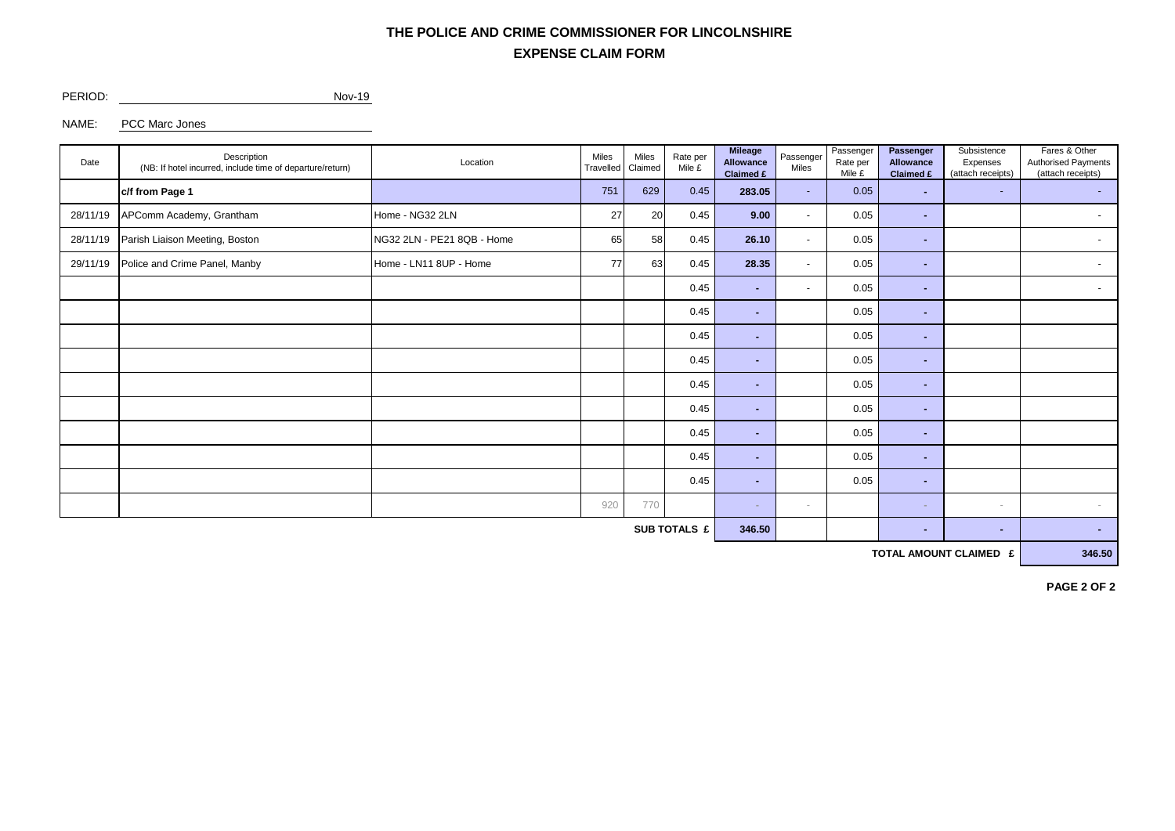## **EXPENSE CLAIM FORM THE POLICE AND CRIME COMMISSIONER FOR LINCOLNSHIRE**

PERIOD: Nov-19

NAME: PCC Marc Jones

| Date         | Description<br>(NB: If hotel incurred, include time of departure/return) | Location                   | Miles<br>Travelled | Miles<br>Rate per<br>Claimed<br>Mile £ |        | <b>Mileage</b><br>Allowance<br>Claimed £ | Passenger<br>Miles       | Passenger<br>Rate per<br>Mile £ | Passenger<br>Allowance<br>Claimed £ | Subsistence<br>Expenses<br>(attach receipts) | Fares & Other<br>Authorised Payments<br>(attach receipts) |  |
|--------------|--------------------------------------------------------------------------|----------------------------|--------------------|----------------------------------------|--------|------------------------------------------|--------------------------|---------------------------------|-------------------------------------|----------------------------------------------|-----------------------------------------------------------|--|
|              | c/f from Page 1<br>751                                                   |                            | 629                | 0.45                                   | 283.05 | ÷                                        | 0.05                     | ×.                              | $\sim$                              | $\sim$                                       |                                                           |  |
| 28/11/19     | APComm Academy, Grantham                                                 | Home - NG32 2LN            | 27                 | 20                                     | 0.45   | 9.00                                     | $\overline{\phantom{a}}$ | 0.05                            | ×.                                  |                                              | $\sim$                                                    |  |
| 28/11/19     | Parish Liaison Meeting, Boston                                           | NG32 2LN - PE21 8QB - Home |                    | 58<br>65                               | 0.45   | 26.10                                    | $\sim$                   | 0.05<br>×.                      |                                     |                                              | $\sim$                                                    |  |
| 29/11/19     | Police and Crime Panel, Manby<br>Home - LN11 8UP - Home                  |                            | 77                 | 63                                     | 0.45   | 28.35                                    | $\sim$                   | 0.05                            | ÷                                   |                                              | $\sim$                                                    |  |
|              |                                                                          |                            |                    |                                        | 0.45   | ж.                                       | $\sim$                   | 0.05                            | ٠                                   |                                              | $\sim$                                                    |  |
|              |                                                                          |                            |                    |                                        | 0.45   | . .                                      |                          | 0.05                            | ж.                                  |                                              |                                                           |  |
|              |                                                                          |                            |                    |                                        | 0.45   | ж.                                       |                          | 0.05                            | ×.                                  |                                              |                                                           |  |
|              |                                                                          |                            |                    |                                        | 0.45   | н.                                       |                          | 0.05                            | ۰                                   |                                              |                                                           |  |
|              |                                                                          |                            |                    |                                        | 0.45   | ж.                                       |                          | 0.05                            | ×.                                  |                                              |                                                           |  |
|              |                                                                          |                            |                    |                                        | 0.45   | ж.                                       |                          | 0.05                            | ×.                                  |                                              |                                                           |  |
|              |                                                                          |                            |                    |                                        | 0.45   | ×.                                       |                          | 0.05                            | ×.                                  |                                              |                                                           |  |
|              |                                                                          |                            |                    |                                        | 0.45   | . .                                      |                          | 0.05                            | ×.                                  |                                              |                                                           |  |
|              |                                                                          |                            |                    |                                        | 0.45   | ж.                                       |                          | 0.05                            | ×.                                  |                                              |                                                           |  |
|              |                                                                          |                            | 920                | 770                                    |        | <b>Section</b>                           | $\sim$                   |                                 | ×.                                  | $\sim$                                       |                                                           |  |
| SUB TOTALS £ |                                                                          |                            |                    |                                        |        |                                          |                          |                                 | ٠                                   | ٠                                            | н.                                                        |  |

**TOTAL AMOUNT CLAIMED £** 346.50

**PAGE 2 OF 2**